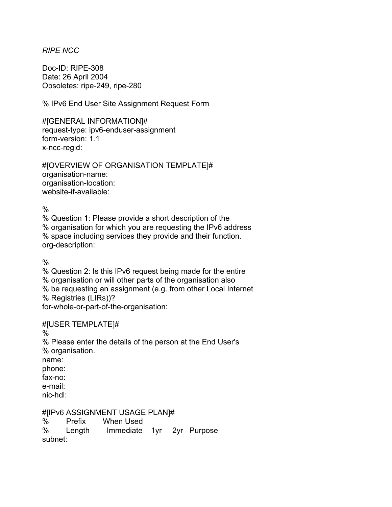## *RIPE NCC*

Doc-ID: RIPE-308 Date: 26 April 2004 Obsoletes: ripe-249, ripe-280

% IPv6 End User Site Assignment Request Form

#[GENERAL INFORMATION]# request-type: ipv6-enduser-assignment form-version: 1.1 x-ncc-regid:

#[OVERVIEW OF ORGANISATION TEMPLATE]# organisation-name: organisation-location: website-if-available:

 $\frac{0}{0}$ 

% Question 1: Please provide a short description of the % organisation for which you are requesting the IPv6 address % space including services they provide and their function. org-description:

 $\%$ 

% Question 2: Is this IPv6 request being made for the entire % organisation or will other parts of the organisation also % be requesting an assignment (e.g. from other Local Internet % Registries (LIRs))? for-whole-or-part-of-the-organisation:

## #[USER TEMPLATE]#

%

% Please enter the details of the person at the End User's % organisation.

name: phone:

fax-no: e-mail:

nic-hdl:

#[IPv6 ASSIGNMENT USAGE PLAN]#

% Prefix When Used

% Length Immediate 1yr 2yr Purpose subnet: